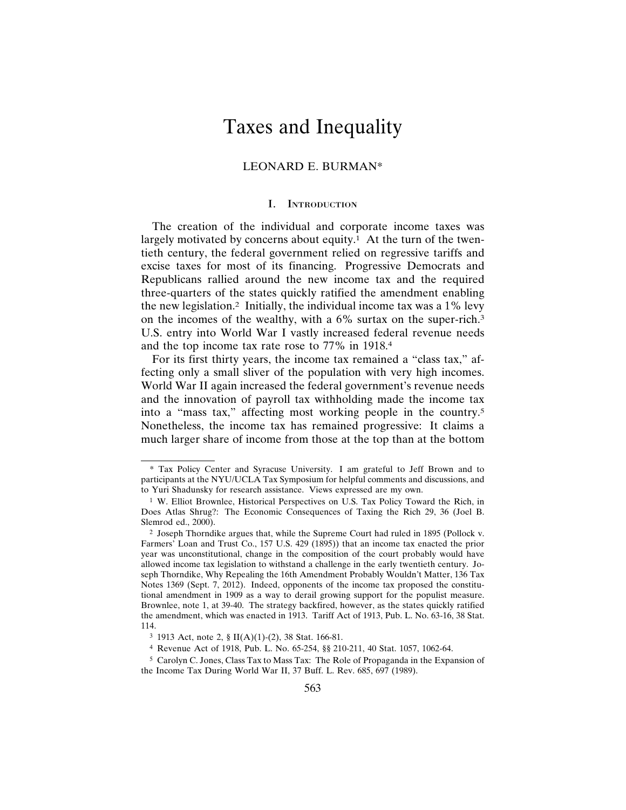# Taxes and Inequality

## LEONARD E. BURMAN\*

#### I. INTRODUCTION

The creation of the individual and corporate income taxes was largely motivated by concerns about equity.<sup>1</sup> At the turn of the twentieth century, the federal government relied on regressive tariffs and excise taxes for most of its financing. Progressive Democrats and Republicans rallied around the new income tax and the required three-quarters of the states quickly ratified the amendment enabling the new legislation.2 Initially, the individual income tax was a 1% levy on the incomes of the wealthy, with a 6% surtax on the super-rich.3 U.S. entry into World War I vastly increased federal revenue needs and the top income tax rate rose to 77% in 1918.4

For its first thirty years, the income tax remained a "class tax," affecting only a small sliver of the population with very high incomes. World War II again increased the federal government's revenue needs and the innovation of payroll tax withholding made the income tax into a "mass tax," affecting most working people in the country.5 Nonetheless, the income tax has remained progressive: It claims a much larger share of income from those at the top than at the bottom

<sup>\*</sup> Tax Policy Center and Syracuse University. I am grateful to Jeff Brown and to participants at the NYU/UCLA Tax Symposium for helpful comments and discussions, and to Yuri Shadunsky for research assistance. Views expressed are my own.

<sup>1</sup> W. Elliot Brownlee, Historical Perspectives on U.S. Tax Policy Toward the Rich, in Does Atlas Shrug?: The Economic Consequences of Taxing the Rich 29, 36 (Joel B. Slemrod ed., 2000).

<sup>2</sup> Joseph Thorndike argues that, while the Supreme Court had ruled in 1895 (Pollock v. Farmers' Loan and Trust Co., 157 U.S. 429 (1895)) that an income tax enacted the prior year was unconstitutional, change in the composition of the court probably would have allowed income tax legislation to withstand a challenge in the early twentieth century. Joseph Thorndike, Why Repealing the 16th Amendment Probably Wouldn't Matter, 136 Tax Notes 1369 (Sept. 7, 2012). Indeed, opponents of the income tax proposed the constitutional amendment in 1909 as a way to derail growing support for the populist measure. Brownlee, note 1, at 39-40. The strategy backfired, however, as the states quickly ratified the amendment, which was enacted in 1913. Tariff Act of 1913, Pub. L. No. 63-16, 38 Stat. 114.

<sup>3</sup> 1913 Act, note 2, § II(A)(1)-(2), 38 Stat. 166-81.

<sup>4</sup> Revenue Act of 1918, Pub. L. No. 65-254, §§ 210-211, 40 Stat. 1057, 1062-64.

<sup>5</sup> Carolyn C. Jones, Class Tax to Mass Tax: The Role of Propaganda in the Expansion of the Income Tax During World War II, 37 Buff. L. Rev. 685, 697 (1989).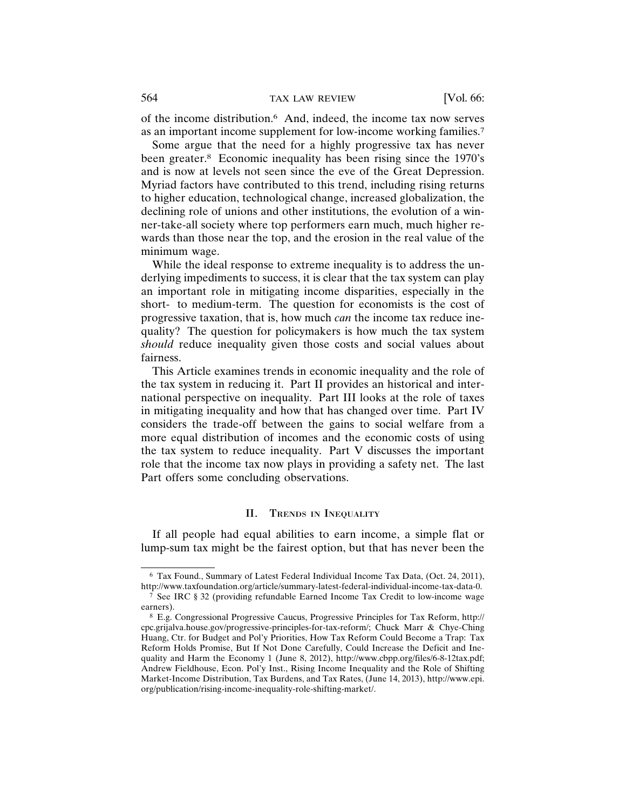of the income distribution.6 And, indeed, the income tax now serves as an important income supplement for low-income working families.7

Some argue that the need for a highly progressive tax has never been greater.<sup>8</sup> Economic inequality has been rising since the 1970's and is now at levels not seen since the eve of the Great Depression. Myriad factors have contributed to this trend, including rising returns to higher education, technological change, increased globalization, the declining role of unions and other institutions, the evolution of a winner-take-all society where top performers earn much, much higher rewards than those near the top, and the erosion in the real value of the minimum wage.

While the ideal response to extreme inequality is to address the underlying impediments to success, it is clear that the tax system can play an important role in mitigating income disparities, especially in the short- to medium-term. The question for economists is the cost of progressive taxation, that is, how much *can* the income tax reduce inequality? The question for policymakers is how much the tax system *should* reduce inequality given those costs and social values about fairness.

This Article examines trends in economic inequality and the role of the tax system in reducing it. Part II provides an historical and international perspective on inequality. Part III looks at the role of taxes in mitigating inequality and how that has changed over time. Part IV considers the trade-off between the gains to social welfare from a more equal distribution of incomes and the economic costs of using the tax system to reduce inequality. Part V discusses the important role that the income tax now plays in providing a safety net. The last Part offers some concluding observations.

#### II. TRENDS IN INEQUALITY

If all people had equal abilities to earn income, a simple flat or lump-sum tax might be the fairest option, but that has never been the

<sup>6</sup> Tax Found., Summary of Latest Federal Individual Income Tax Data, (Oct. 24, 2011), http://www.taxfoundation.org/article/summary-latest-federal-individual-income-tax-data-0.

<sup>7</sup> See IRC § 32 (providing refundable Earned Income Tax Credit to low-income wage earners).

<sup>8</sup> E.g. Congressional Progressive Caucus, Progressive Principles for Tax Reform, http:// cpc.grijalva.house.gov/progressive-principles-for-tax-reform/; Chuck Marr & Chye-Ching Huang, Ctr. for Budget and Pol'y Priorities, How Tax Reform Could Become a Trap: Tax Reform Holds Promise, But If Not Done Carefully, Could Increase the Deficit and Inequality and Harm the Economy 1 (June 8, 2012), http://www.cbpp.org/files/6-8-12tax.pdf; Andrew Fieldhouse, Econ. Pol'y Inst., Rising Income Inequality and the Role of Shifting Market-Income Distribution, Tax Burdens, and Tax Rates, (June 14, 2013), http://www.epi. org/publication/rising-income-inequality-role-shifting-market/.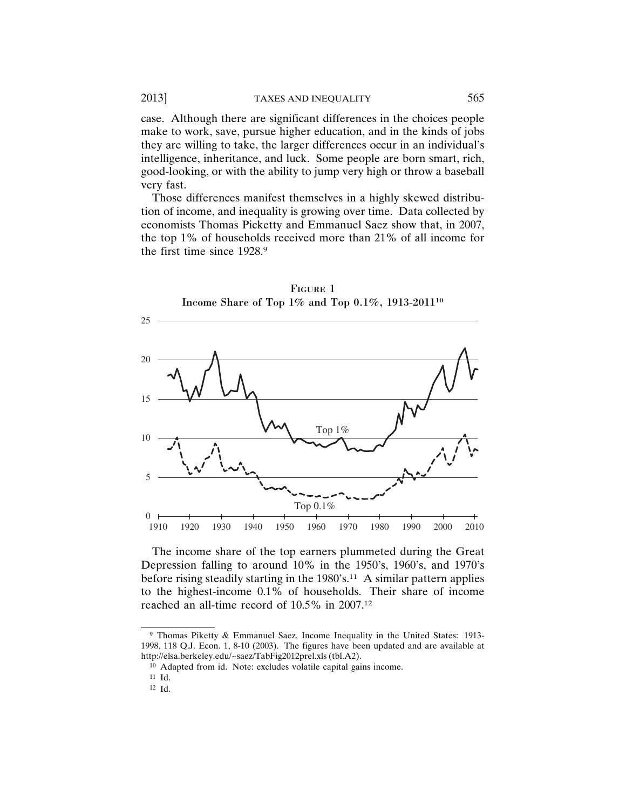case. Although there are significant differences in the choices people make to work, save, pursue higher education, and in the kinds of jobs they are willing to take, the larger differences occur in an individual's intelligence, inheritance, and luck. Some people are born smart, rich, good-looking, or with the ability to jump very high or throw a baseball very fast.

Those differences manifest themselves in a highly skewed distribution of income, and inequality is growing over time. Data collected by economists Thomas Picketty and Emmanuel Saez show that, in 2007, the top 1% of households received more than 21% of all income for the first time since 1928.9



FIGURE 1

The income share of the top earners plummeted during the Great Depression falling to around 10% in the 1950's, 1960's, and 1970's before rising steadily starting in the 1980's.<sup>11</sup> A similar pattern applies to the highest-income 0.1% of households. Their share of income reached an all-time record of 10.5% in 2007.12

<sup>9</sup> Thomas Piketty & Emmanuel Saez, Income Inequality in the United States: 1913- 1998, 118 Q.J. Econ. 1, 8-10 (2003). The figures have been updated and are available at http://elsa.berkeley.edu/~saez/TabFig2012prel.xls (tbl.A2).

<sup>10</sup> Adapted from id. Note: excludes volatile capital gains income.

<sup>11</sup> Id.

<sup>12</sup> Id.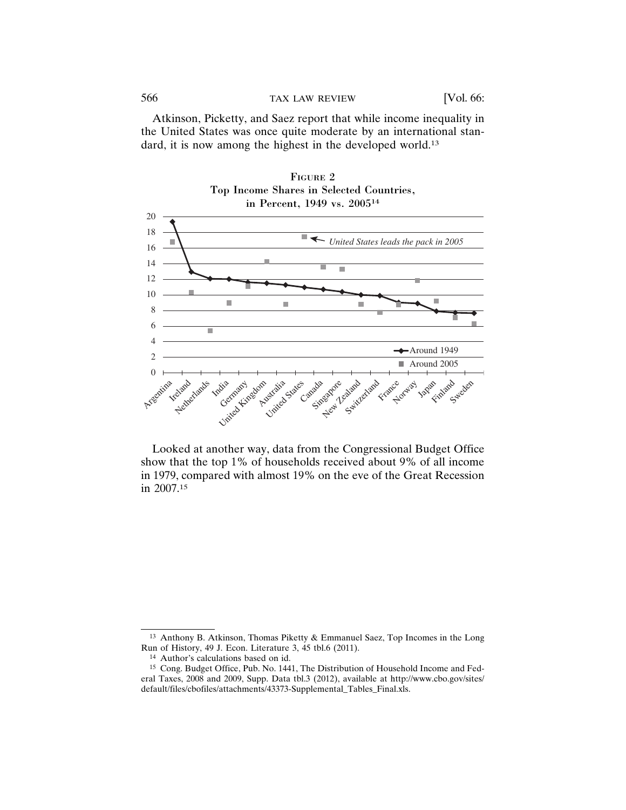Atkinson, Picketty, and Saez report that while income inequality in the United States was once quite moderate by an international standard, it is now among the highest in the developed world.<sup>13</sup>



Looked at another way, data from the Congressional Budget Office show that the top 1% of households received about 9% of all income in 1979, compared with almost 19% on the eve of the Great Recession in 2007.15

<sup>13</sup> Anthony B. Atkinson, Thomas Piketty & Emmanuel Saez, Top Incomes in the Long Run of History, 49 J. Econ. Literature 3, 45 tbl.6 (2011).

<sup>14</sup> Author's calculations based on id.

<sup>15</sup> Cong. Budget Office, Pub. No. 1441, The Distribution of Household Income and Federal Taxes, 2008 and 2009, Supp. Data tbl.3 (2012), available at http://www.cbo.gov/sites/ default/files/cbofiles/attachments/43373-Supplemental\_Tables\_Final.xls.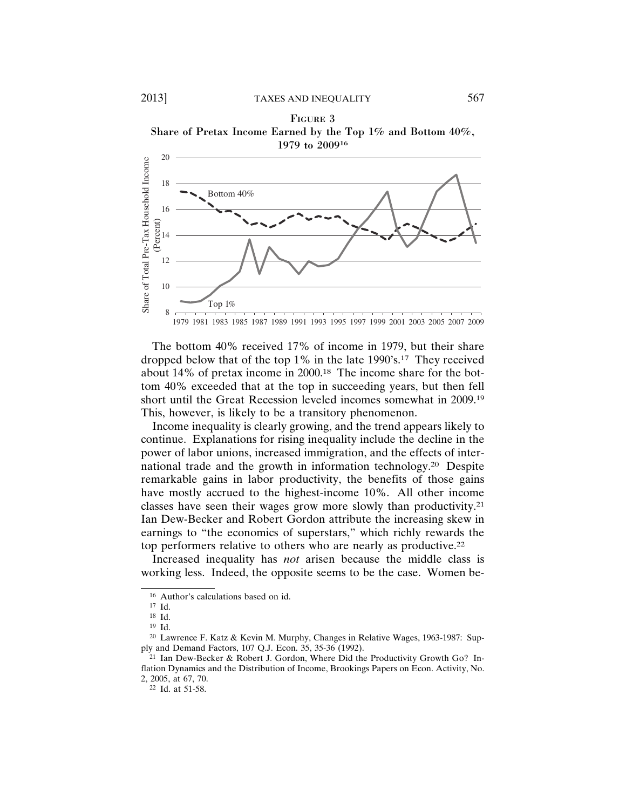#### FIGURE 3





The bottom 40% received 17% of income in 1979, but their share dropped below that of the top 1% in the late 1990's.17 They received about 14% of pretax income in 2000.18 The income share for the bottom 40% exceeded that at the top in succeeding years, but then fell short until the Great Recession leveled incomes somewhat in 2009.19 This, however, is likely to be a transitory phenomenon.

Income inequality is clearly growing, and the trend appears likely to continue. Explanations for rising inequality include the decline in the power of labor unions, increased immigration, and the effects of international trade and the growth in information technology.20 Despite remarkable gains in labor productivity, the benefits of those gains have mostly accrued to the highest-income 10%. All other income classes have seen their wages grow more slowly than productivity.21 Ian Dew-Becker and Robert Gordon attribute the increasing skew in earnings to "the economics of superstars," which richly rewards the top performers relative to others who are nearly as productive.22

Increased inequality has *not* arisen because the middle class is working less. Indeed, the opposite seems to be the case. Women be-

<sup>16</sup> Author's calculations based on id.

<sup>17</sup> Id.

<sup>18</sup> Id.

<sup>19</sup> Id.

<sup>20</sup> Lawrence F. Katz & Kevin M. Murphy, Changes in Relative Wages, 1963-1987: Supply and Demand Factors, 107 Q.J. Econ. 35, 35-36 (1992).

<sup>21</sup> Ian Dew-Becker & Robert J. Gordon, Where Did the Productivity Growth Go? Inflation Dynamics and the Distribution of Income, Brookings Papers on Econ. Activity, No. 2, 2005, at 67, 70.

<sup>22</sup> Id. at 51-58.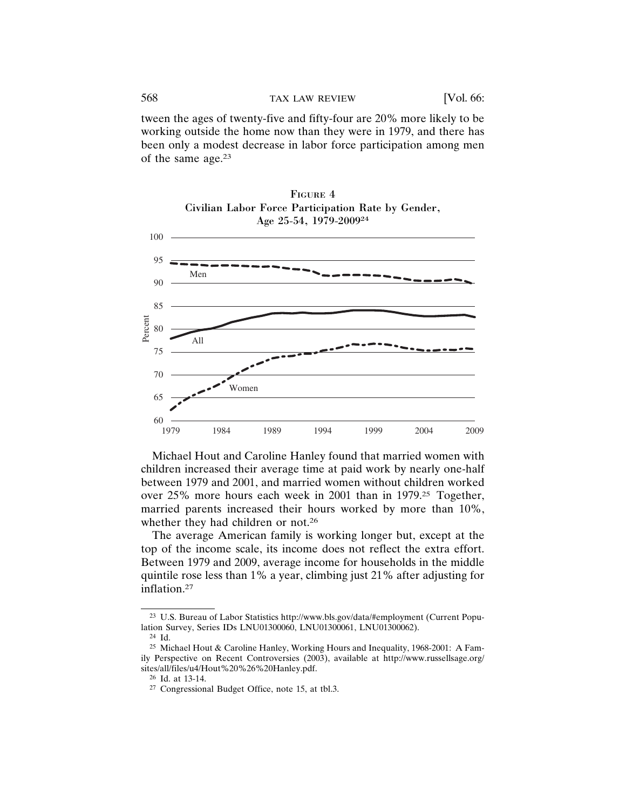tween the ages of twenty-five and fifty-four are 20% more likely to be working outside the home now than they were in 1979, and there has been only a modest decrease in labor force participation among men of the same age.23





Michael Hout and Caroline Hanley found that married women with children increased their average time at paid work by nearly one-half between 1979 and 2001, and married women without children worked over 25% more hours each week in 2001 than in 1979.25 Together, married parents increased their hours worked by more than 10%, whether they had children or not.<sup>26</sup>

The average American family is working longer but, except at the top of the income scale, its income does not reflect the extra effort. Between 1979 and 2009, average income for households in the middle quintile rose less than 1% a year, climbing just 21% after adjusting for inflation.27

<sup>23</sup> U.S. Bureau of Labor Statistics http://www.bls.gov/data/#employment (Current Population Survey, Series IDs LNU01300060, LNU01300061, LNU01300062).

<sup>24</sup> Id.

<sup>25</sup> Michael Hout & Caroline Hanley, Working Hours and Inequality, 1968-2001: A Family Perspective on Recent Controversies (2003), available at http://www.russellsage.org/ sites/all/files/u4/Hout%20%26%20Hanley.pdf.

<sup>26</sup> Id. at 13-14.

<sup>27</sup> Congressional Budget Office, note 15, at tbl.3.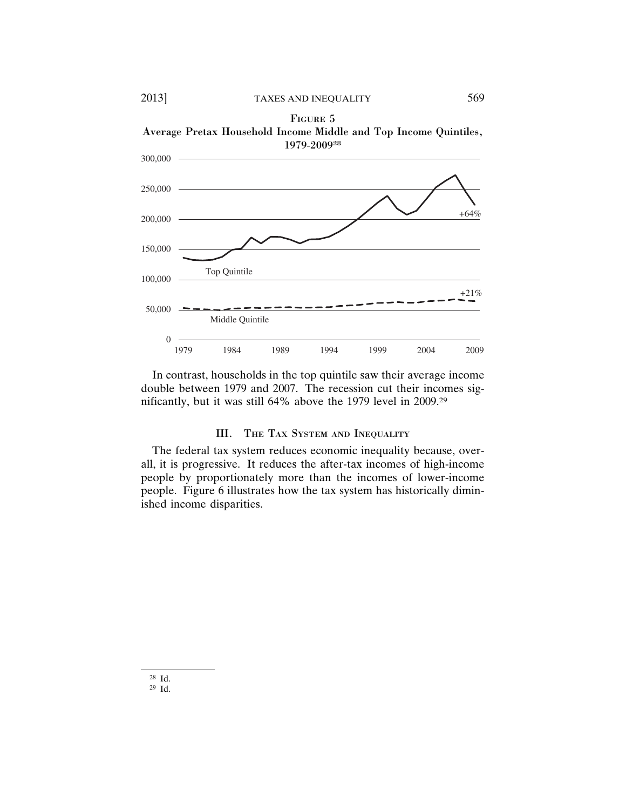2013] TAXES AND INEQUALITY 569



Average Pretax Household Income Middle and Top Income Quintiles, 1979-200928



In contrast, households in the top quintile saw their average income double between 1979 and 2007. The recession cut their incomes significantly, but it was still 64% above the 1979 level in 2009.29

## III. THE TAX SYSTEM AND INEQUALITY

The federal tax system reduces economic inequality because, overall, it is progressive. It reduces the after-tax incomes of high-income people by proportionately more than the incomes of lower-income people. Figure 6 illustrates how the tax system has historically diminished income disparities.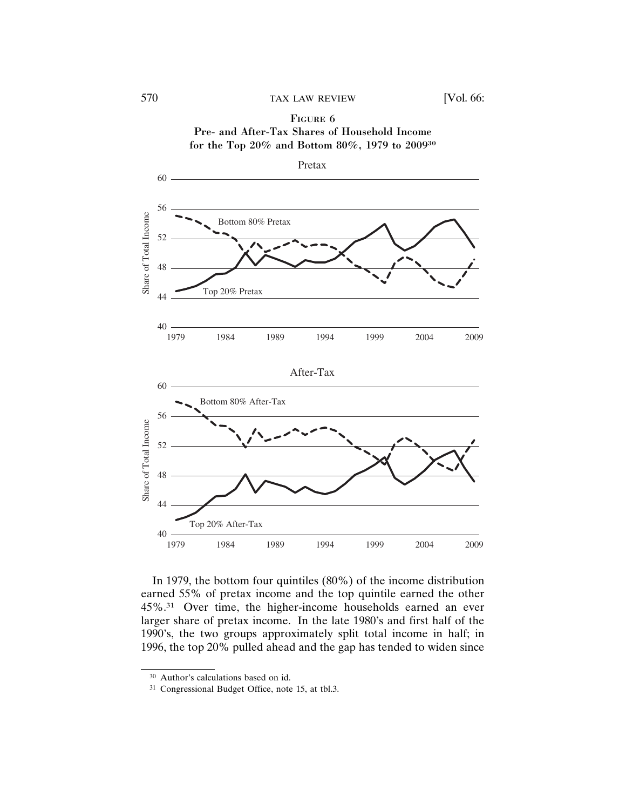# FIGURE 6

Pre- and After-Tax Shares of Household Income for the Top 20% and Bottom 80%, 1979 to 200930



In 1979, the bottom four quintiles (80%) of the income distribution earned 55% of pretax income and the top quintile earned the other 45%.31 Over time, the higher-income households earned an ever larger share of pretax income. In the late 1980's and first half of the 1990's, the two groups approximately split total income in half; in 1996, the top 20% pulled ahead and the gap has tended to widen since

<sup>30</sup> Author's calculations based on id.

<sup>31</sup> Congressional Budget Office, note 15, at tbl.3.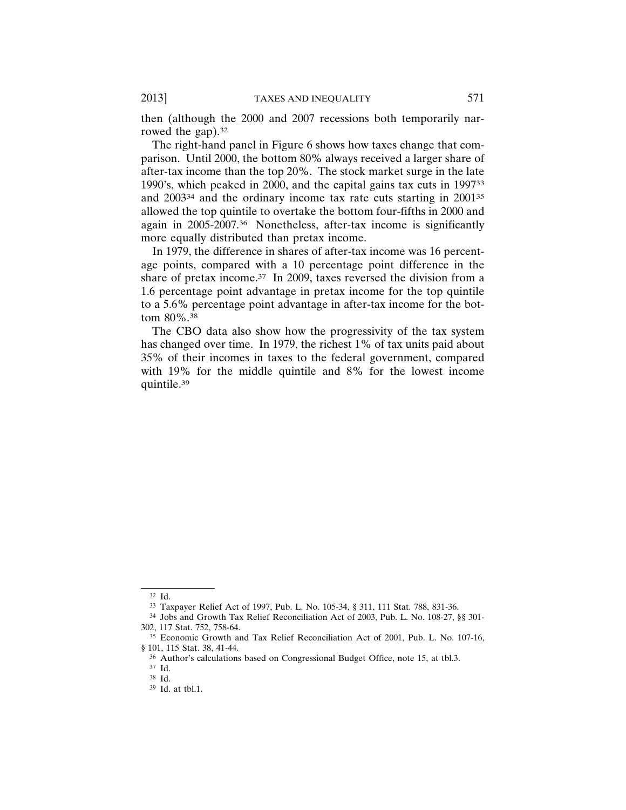then (although the 2000 and 2007 recessions both temporarily narrowed the gap).<sup>32</sup>

The right-hand panel in Figure 6 shows how taxes change that comparison. Until 2000, the bottom 80% always received a larger share of after-tax income than the top 20%. The stock market surge in the late 1990's, which peaked in 2000, and the capital gains tax cuts in 199733 and 200334 and the ordinary income tax rate cuts starting in 200135 allowed the top quintile to overtake the bottom four-fifths in 2000 and again in 2005-2007.36 Nonetheless, after-tax income is significantly more equally distributed than pretax income.

In 1979, the difference in shares of after-tax income was 16 percentage points, compared with a 10 percentage point difference in the share of pretax income.<sup>37</sup> In 2009, taxes reversed the division from a 1.6 percentage point advantage in pretax income for the top quintile to a 5.6% percentage point advantage in after-tax income for the bottom 80%.38

The CBO data also show how the progressivity of the tax system has changed over time. In 1979, the richest 1% of tax units paid about 35% of their incomes in taxes to the federal government, compared with 19% for the middle quintile and 8% for the lowest income quintile.39

<sup>32</sup> Id.

<sup>33</sup> Taxpayer Relief Act of 1997, Pub. L. No. 105-34, § 311, 111 Stat. 788, 831-36.

<sup>34</sup> Jobs and Growth Tax Relief Reconciliation Act of 2003, Pub. L. No. 108-27, §§ 301- 302, 117 Stat. 752, 758-64.

<sup>35</sup> Economic Growth and Tax Relief Reconciliation Act of 2001, Pub. L. No. 107-16, § 101, 115 Stat. 38, 41-44.

<sup>36</sup> Author's calculations based on Congressional Budget Office, note 15, at tbl.3.

<sup>37</sup> Id.

<sup>38</sup> Id.

<sup>39</sup> Id. at tbl.1.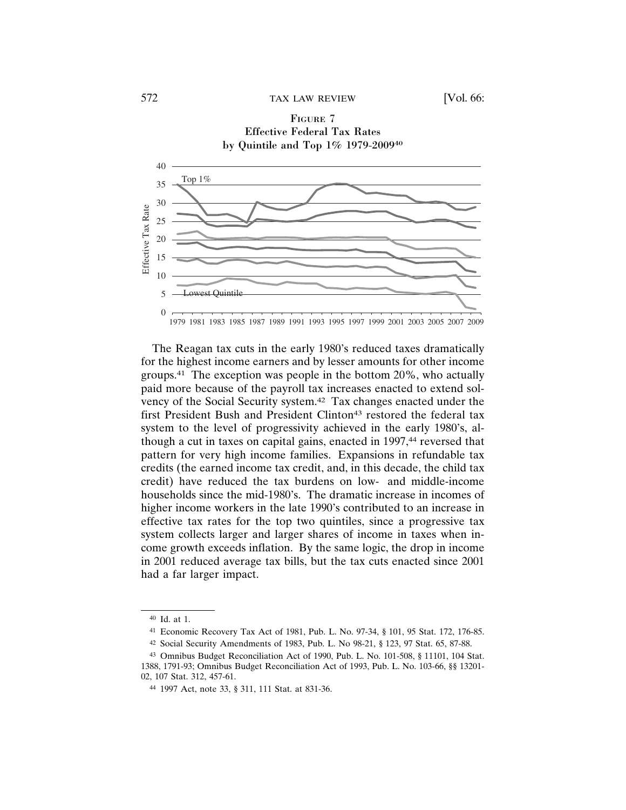# FIGURE 7 Effective Federal Tax Rates by Quintile and Top 1% 1979-200940 40 Top 1% 35 30 Effective Tax Rate Effective Tax Rate 25 20 15 10 5 est Quinti  $\Omega$ 1979 1981 1983 1985 1987 1989 1991 1993 1995 1997 1999 2001 2003 2005 2007 2009

The Reagan tax cuts in the early 1980's reduced taxes dramatically for the highest income earners and by lesser amounts for other income groups.41 The exception was people in the bottom 20%, who actually paid more because of the payroll tax increases enacted to extend solvency of the Social Security system.42 Tax changes enacted under the first President Bush and President Clinton<sup>43</sup> restored the federal tax system to the level of progressivity achieved in the early 1980's, although a cut in taxes on capital gains, enacted in 1997,<sup>44</sup> reversed that pattern for very high income families. Expansions in refundable tax credits (the earned income tax credit, and, in this decade, the child tax credit) have reduced the tax burdens on low- and middle-income households since the mid-1980's. The dramatic increase in incomes of higher income workers in the late 1990's contributed to an increase in effective tax rates for the top two quintiles, since a progressive tax system collects larger and larger shares of income in taxes when income growth exceeds inflation. By the same logic, the drop in income in 2001 reduced average tax bills, but the tax cuts enacted since 2001 had a far larger impact.

<sup>40</sup> Id. at 1.

<sup>41</sup> Economic Recovery Tax Act of 1981, Pub. L. No. 97-34, § 101, 95 Stat. 172, 176-85.

<sup>42</sup> Social Security Amendments of 1983, Pub. L. No 98-21, § 123, 97 Stat. 65, 87-88.

<sup>43</sup> Omnibus Budget Reconciliation Act of 1990, Pub. L. No. 101-508, § 11101, 104 Stat. 1388, 1791-93; Omnibus Budget Reconciliation Act of 1993, Pub. L. No. 103-66, §§ 13201- 02, 107 Stat. 312, 457-61.

<sup>44</sup> 1997 Act, note 33, § 311, 111 Stat. at 831-36.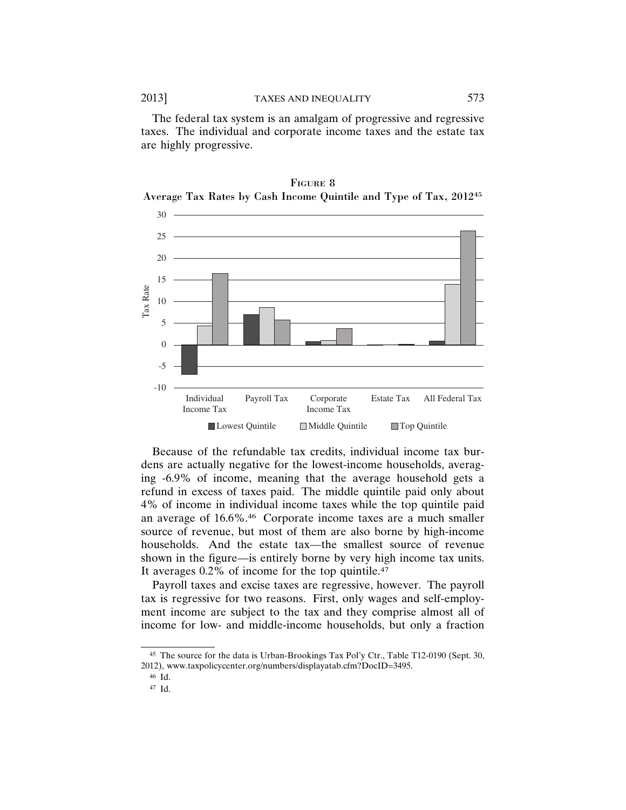The federal tax system is an amalgam of progressive and regressive taxes. The individual and corporate income taxes and the estate tax are highly progressive.



FIGURE 8 Average Tax Rates by Cash Income Quintile and Type of Tax, 201245

Because of the refundable tax credits, individual income tax burdens are actually negative for the lowest-income households, averaging -6.9% of income, meaning that the average household gets a refund in excess of taxes paid. The middle quintile paid only about 4% of income in individual income taxes while the top quintile paid an average of 16.6%.46 Corporate income taxes are a much smaller source of revenue, but most of them are also borne by high-income households. And the estate tax—the smallest source of revenue shown in the figure—is entirely borne by very high income tax units. It averages 0.2% of income for the top quintile.47

Payroll taxes and excise taxes are regressive, however. The payroll tax is regressive for two reasons. First, only wages and self-employment income are subject to the tax and they comprise almost all of income for low- and middle-income households, but only a fraction

<sup>45</sup> The source for the data is Urban-Brookings Tax Pol'y Ctr., Table T12-0190 (Sept. 30, 2012), www.taxpolicycenter.org/numbers/displayatab.cfm?DocID=3495.

<sup>46</sup> Id.

<sup>47</sup> Id.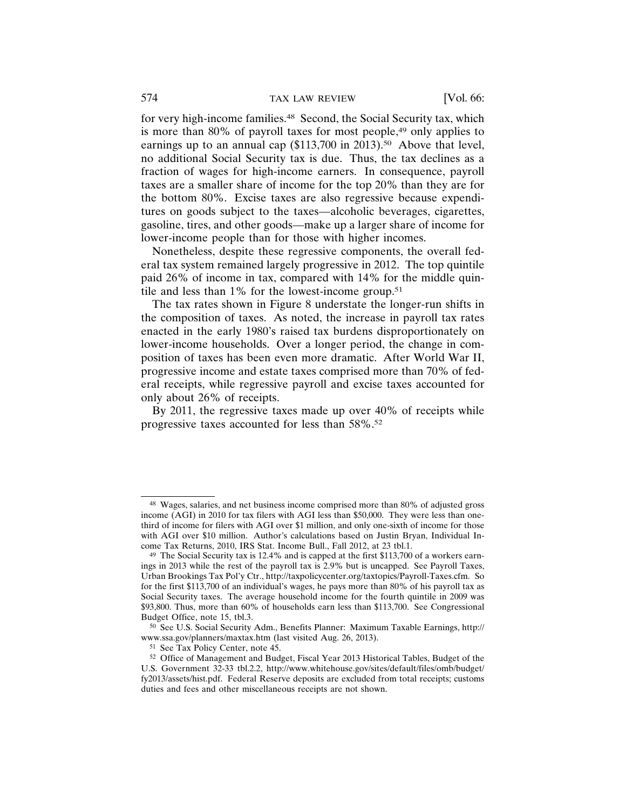for very high-income families.<sup>48</sup> Second, the Social Security tax, which is more than 80% of payroll taxes for most people,<sup>49</sup> only applies to earnings up to an annual cap  $(\$113,700$  in 2013).<sup>50</sup> Above that level, no additional Social Security tax is due. Thus, the tax declines as a fraction of wages for high-income earners. In consequence, payroll taxes are a smaller share of income for the top 20% than they are for the bottom 80%. Excise taxes are also regressive because expenditures on goods subject to the taxes—alcoholic beverages, cigarettes, gasoline, tires, and other goods—make up a larger share of income for lower-income people than for those with higher incomes.

Nonetheless, despite these regressive components, the overall federal tax system remained largely progressive in 2012. The top quintile paid 26% of income in tax, compared with 14% for the middle quintile and less than  $1\%$  for the lowest-income group.<sup>51</sup>

The tax rates shown in Figure 8 understate the longer-run shifts in the composition of taxes. As noted, the increase in payroll tax rates enacted in the early 1980's raised tax burdens disproportionately on lower-income households. Over a longer period, the change in composition of taxes has been even more dramatic. After World War II, progressive income and estate taxes comprised more than 70% of federal receipts, while regressive payroll and excise taxes accounted for only about 26% of receipts.

By 2011, the regressive taxes made up over 40% of receipts while progressive taxes accounted for less than 58%.52

<sup>48</sup> Wages, salaries, and net business income comprised more than 80% of adjusted gross income (AGI) in 2010 for tax filers with AGI less than \$50,000. They were less than onethird of income for filers with AGI over \$1 million, and only one-sixth of income for those with AGI over \$10 million. Author's calculations based on Justin Bryan, Individual Income Tax Returns, 2010, IRS Stat. Income Bull., Fall 2012, at 23 tbl.1.

<sup>49</sup> The Social Security tax is 12.4% and is capped at the first \$113,700 of a workers earnings in 2013 while the rest of the payroll tax is 2.9% but is uncapped. See Payroll Taxes, Urban Brookings Tax Pol'y Ctr., http://taxpolicycenter.org/taxtopics/Payroll-Taxes.cfm. So for the first \$113,700 of an individual's wages, he pays more than 80% of his payroll tax as Social Security taxes. The average household income for the fourth quintile in 2009 was \$93,800. Thus, more than 60% of households earn less than \$113,700. See Congressional Budget Office, note 15, tbl.3.

<sup>50</sup> See U.S. Social Security Adm., Benefits Planner: Maximum Taxable Earnings, http:// www.ssa.gov/planners/maxtax.htm (last visited Aug. 26, 2013).

<sup>51</sup> See Tax Policy Center, note 45.

<sup>52</sup> Office of Management and Budget, Fiscal Year 2013 Historical Tables, Budget of the U.S. Government 32-33 tbl.2.2, http://www.whitehouse.gov/sites/default/files/omb/budget/ fy2013/assets/hist.pdf. Federal Reserve deposits are excluded from total receipts; customs duties and fees and other miscellaneous receipts are not shown.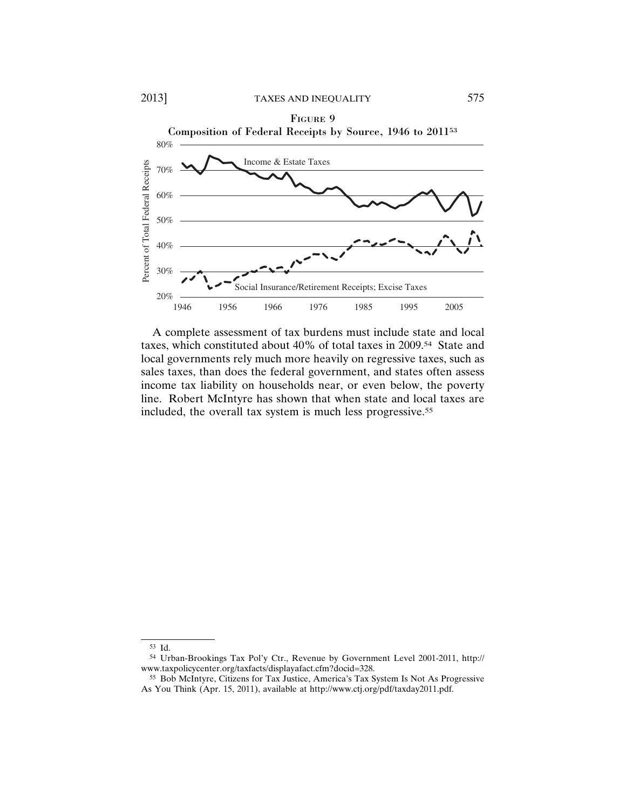

A complete assessment of tax burdens must include state and local taxes, which constituted about 40% of total taxes in 2009.54 State and local governments rely much more heavily on regressive taxes, such as sales taxes, than does the federal government, and states often assess income tax liability on households near, or even below, the poverty line. Robert McIntyre has shown that when state and local taxes are included, the overall tax system is much less progressive.55

<sup>53</sup> Id.

<sup>54</sup> Urban-Brookings Tax Pol'y Ctr., Revenue by Government Level 2001-2011, http:// www.taxpolicycenter.org/taxfacts/displayafact.cfm?docid=328.

<sup>55</sup> Bob McIntyre, Citizens for Tax Justice, America's Tax System Is Not As Progressive As You Think (Apr. 15, 2011), available at http://www.ctj.org/pdf/taxday2011.pdf.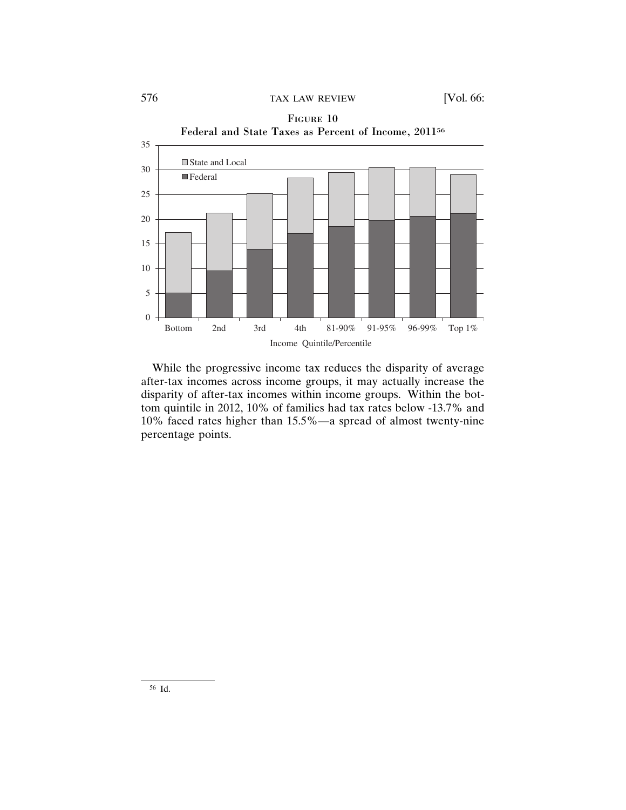

While the progressive income tax reduces the disparity of average after-tax incomes across income groups, it may actually increase the disparity of after-tax incomes within income groups. Within the bottom quintile in 2012, 10% of families had tax rates below -13.7% and 10% faced rates higher than 15.5%—a spread of almost twenty-nine percentage points.

<sup>56</sup> Id.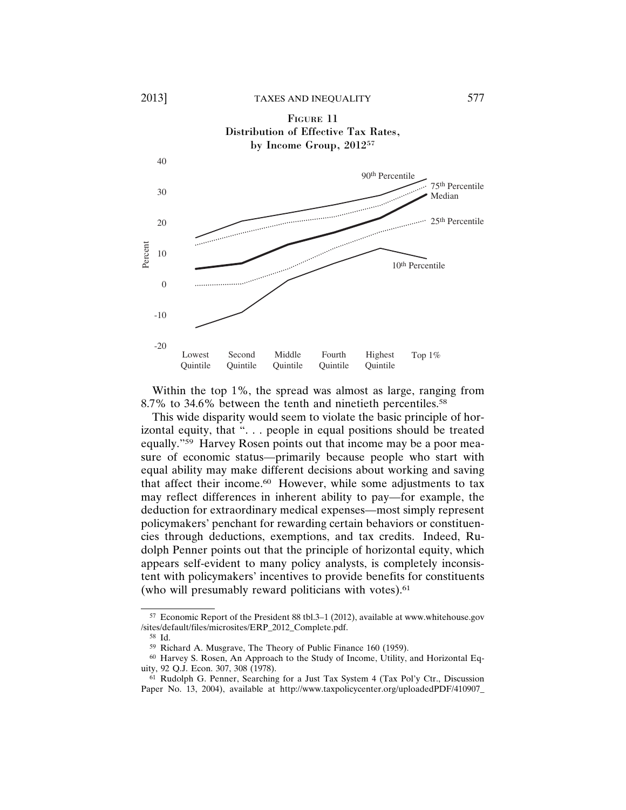

Within the top 1%, the spread was almost as large, ranging from 8.7% to 34.6% between the tenth and ninetieth percentiles.58

This wide disparity would seem to violate the basic principle of horizontal equity, that ". . . people in equal positions should be treated equally."59 Harvey Rosen points out that income may be a poor measure of economic status—primarily because people who start with equal ability may make different decisions about working and saving that affect their income.60 However, while some adjustments to tax may reflect differences in inherent ability to pay—for example, the deduction for extraordinary medical expenses—most simply represent policymakers' penchant for rewarding certain behaviors or constituencies through deductions, exemptions, and tax credits. Indeed, Rudolph Penner points out that the principle of horizontal equity, which appears self-evident to many policy analysts, is completely inconsistent with policymakers' incentives to provide benefits for constituents (who will presumably reward politicians with votes).<sup>61</sup>

<sup>57</sup> Economic Report of the President 88 tbl.3–1 (2012), available at www.whitehouse.gov /sites/default/files/microsites/ERP\_2012\_Complete.pdf.

<sup>58</sup> Id.

<sup>59</sup> Richard A. Musgrave, The Theory of Public Finance 160 (1959).

<sup>60</sup> Harvey S. Rosen, An Approach to the Study of Income, Utility, and Horizontal Equity, 92 Q.J. Econ. 307, 308 (1978).

<sup>61</sup> Rudolph G. Penner, Searching for a Just Tax System 4 (Tax Pol'y Ctr., Discussion Paper No. 13, 2004), available at http://www.taxpolicycenter.org/uploadedPDF/410907\_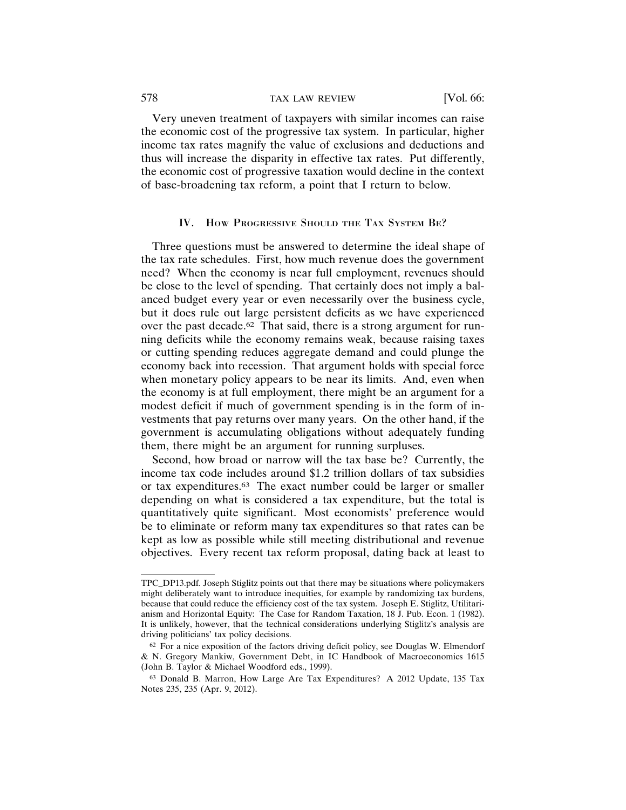Very uneven treatment of taxpayers with similar incomes can raise the economic cost of the progressive tax system. In particular, higher income tax rates magnify the value of exclusions and deductions and thus will increase the disparity in effective tax rates. Put differently, the economic cost of progressive taxation would decline in the context of base-broadening tax reform, a point that I return to below.

#### IV. HOW PROGRESSIVE SHOULD THE TAX SYSTEM BE?

Three questions must be answered to determine the ideal shape of the tax rate schedules. First, how much revenue does the government need? When the economy is near full employment, revenues should be close to the level of spending. That certainly does not imply a balanced budget every year or even necessarily over the business cycle, but it does rule out large persistent deficits as we have experienced over the past decade.<sup>62</sup> That said, there is a strong argument for running deficits while the economy remains weak, because raising taxes or cutting spending reduces aggregate demand and could plunge the economy back into recession. That argument holds with special force when monetary policy appears to be near its limits. And, even when the economy is at full employment, there might be an argument for a modest deficit if much of government spending is in the form of investments that pay returns over many years. On the other hand, if the government is accumulating obligations without adequately funding them, there might be an argument for running surpluses.

Second, how broad or narrow will the tax base be? Currently, the income tax code includes around \$1.2 trillion dollars of tax subsidies or tax expenditures.63 The exact number could be larger or smaller depending on what is considered a tax expenditure, but the total is quantitatively quite significant. Most economists' preference would be to eliminate or reform many tax expenditures so that rates can be kept as low as possible while still meeting distributional and revenue objectives. Every recent tax reform proposal, dating back at least to

TPC\_DP13.pdf. Joseph Stiglitz points out that there may be situations where policymakers might deliberately want to introduce inequities, for example by randomizing tax burdens, because that could reduce the efficiency cost of the tax system. Joseph E. Stiglitz, Utilitarianism and Horizontal Equity: The Case for Random Taxation, 18 J. Pub. Econ. 1 (1982). It is unlikely, however, that the technical considerations underlying Stiglitz's analysis are driving politicians' tax policy decisions.

 $62$  For a nice exposition of the factors driving deficit policy, see Douglas W. Elmendorf & N. Gregory Mankiw, Government Debt, in IC Handbook of Macroeconomics 1615 (John B. Taylor & Michael Woodford eds., 1999).

<sup>63</sup> Donald B. Marron, How Large Are Tax Expenditures? A 2012 Update, 135 Tax Notes 235, 235 (Apr. 9, 2012).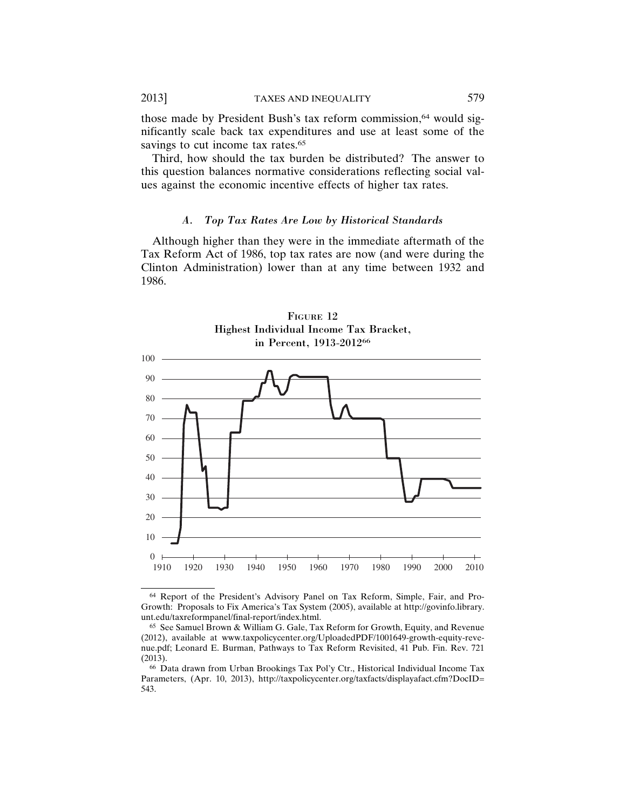those made by President Bush's tax reform commission,<sup>64</sup> would significantly scale back tax expenditures and use at least some of the savings to cut income tax rates.<sup>65</sup>

Third, how should the tax burden be distributed? The answer to this question balances normative considerations reflecting social values against the economic incentive effects of higher tax rates.

#### *A. Top Tax Rates Are Low by Historical Standards*

Although higher than they were in the immediate aftermath of the Tax Reform Act of 1986, top tax rates are now (and were during the Clinton Administration) lower than at any time between 1932 and 1986.



FIGURE 12 Highest Individual Income Tax Bracket,

<sup>64</sup> Report of the President's Advisory Panel on Tax Reform, Simple, Fair, and Pro-Growth: Proposals to Fix America's Tax System (2005), available at http://govinfo.library. unt.edu/taxreformpanel/final-report/index.html.

<sup>65</sup> See Samuel Brown & William G. Gale, Tax Reform for Growth, Equity, and Revenue (2012), available at www.taxpolicycenter.org/UploadedPDF/1001649-growth-equity-revenue.pdf; Leonard E. Burman, Pathways to Tax Reform Revisited, 41 Pub. Fin. Rev. 721 (2013).

<sup>66</sup> Data drawn from Urban Brookings Tax Pol'y Ctr., Historical Individual Income Tax Parameters, (Apr. 10, 2013), http://taxpolicycenter.org/taxfacts/displayafact.cfm?DocID= 543.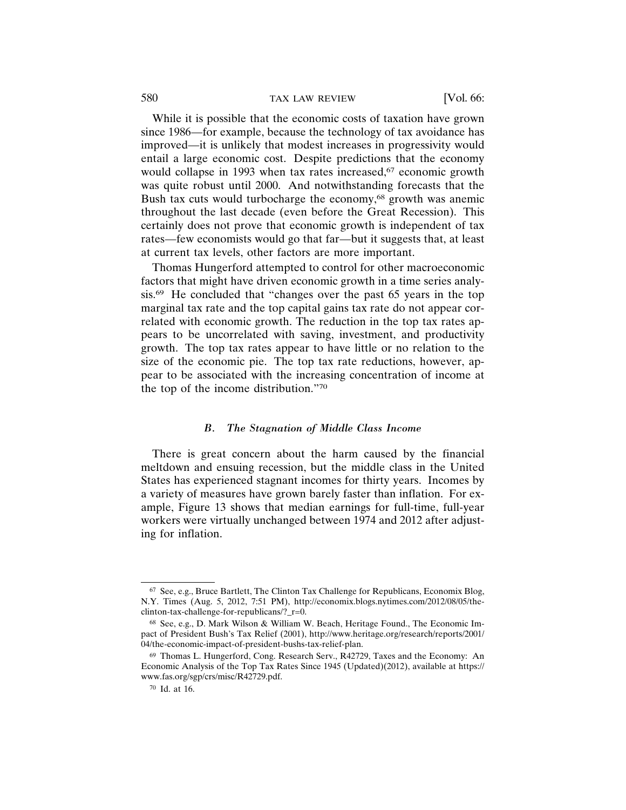While it is possible that the economic costs of taxation have grown since 1986—for example, because the technology of tax avoidance has improved—it is unlikely that modest increases in progressivity would entail a large economic cost. Despite predictions that the economy would collapse in 1993 when tax rates increased,<sup>67</sup> economic growth was quite robust until 2000. And notwithstanding forecasts that the Bush tax cuts would turbocharge the economy,<sup>68</sup> growth was anemic throughout the last decade (even before the Great Recession). This certainly does not prove that economic growth is independent of tax rates—few economists would go that far—but it suggests that, at least at current tax levels, other factors are more important.

Thomas Hungerford attempted to control for other macroeconomic factors that might have driven economic growth in a time series analysis.69 He concluded that "changes over the past 65 years in the top marginal tax rate and the top capital gains tax rate do not appear correlated with economic growth. The reduction in the top tax rates appears to be uncorrelated with saving, investment, and productivity growth. The top tax rates appear to have little or no relation to the size of the economic pie. The top tax rate reductions, however, appear to be associated with the increasing concentration of income at the top of the income distribution."70

#### *B. The Stagnation of Middle Class Income*

There is great concern about the harm caused by the financial meltdown and ensuing recession, but the middle class in the United States has experienced stagnant incomes for thirty years. Incomes by a variety of measures have grown barely faster than inflation. For example, Figure 13 shows that median earnings for full-time, full-year workers were virtually unchanged between 1974 and 2012 after adjusting for inflation.

<sup>67</sup> See, e.g., Bruce Bartlett, The Clinton Tax Challenge for Republicans, Economix Blog, N.Y. Times (Aug. 5, 2012, 7:51 PM), http://economix.blogs.nytimes.com/2012/08/05/theclinton-tax-challenge-for-republicans/?\_r=0.

<sup>68</sup> See, e.g., D. Mark Wilson & William W. Beach, Heritage Found., The Economic Impact of President Bush's Tax Relief (2001), http://www.heritage.org/research/reports/2001/ 04/the-economic-impact-of-president-bushs-tax-relief-plan.

<sup>69</sup> Thomas L. Hungerford, Cong. Research Serv., R42729, Taxes and the Economy: An Economic Analysis of the Top Tax Rates Since 1945 (Updated)(2012), available at https:// www.fas.org/sgp/crs/misc/R42729.pdf.

<sup>70</sup> Id. at 16.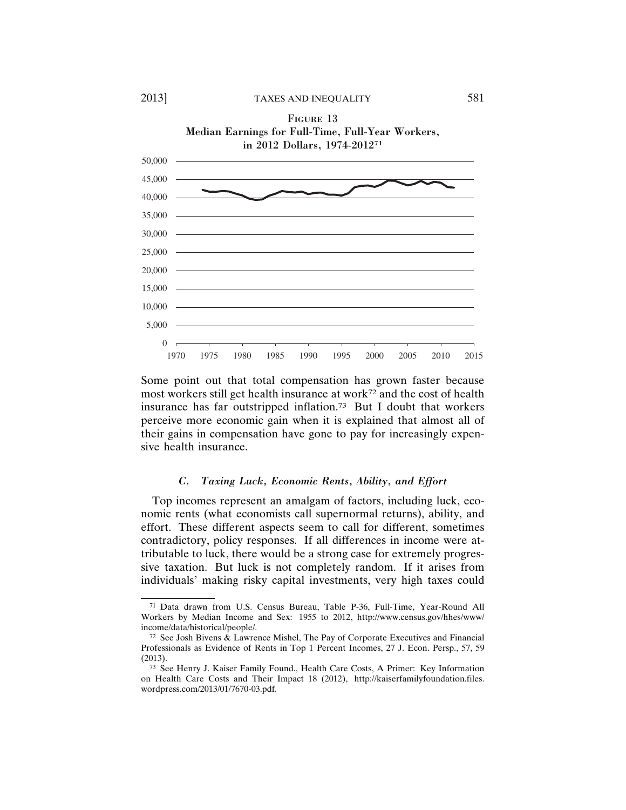



# sive health insurance.

#### *C. Taxing Luck, Economic Rents, Ability, and Effort*

Top incomes represent an amalgam of factors, including luck, economic rents (what economists call supernormal returns), ability, and effort. These different aspects seem to call for different, sometimes contradictory, policy responses. If all differences in income were attributable to luck, there would be a strong case for extremely progressive taxation. But luck is not completely random. If it arises from individuals' making risky capital investments, very high taxes could

 $10,000 =$ 15,000

<sup>71</sup> Data drawn from U.S. Census Bureau, Table P-36, Full-Time, Year-Round All Workers by Median Income and Sex: 1955 to 2012, http://www.census.gov/hhes/www/ income/data/historical/people/.

<sup>72</sup> See Josh Bivens & Lawrence Mishel, The Pay of Corporate Executives and Financial Professionals as Evidence of Rents in Top 1 Percent Incomes, 27 J. Econ. Persp., 57, 59 (2013).

<sup>73</sup> See Henry J. Kaiser Family Found., Health Care Costs, A Primer: Key Information on Health Care Costs and Their Impact 18 (2012), http://kaiserfamilyfoundation.files. wordpress.com/2013/01/7670-03.pdf.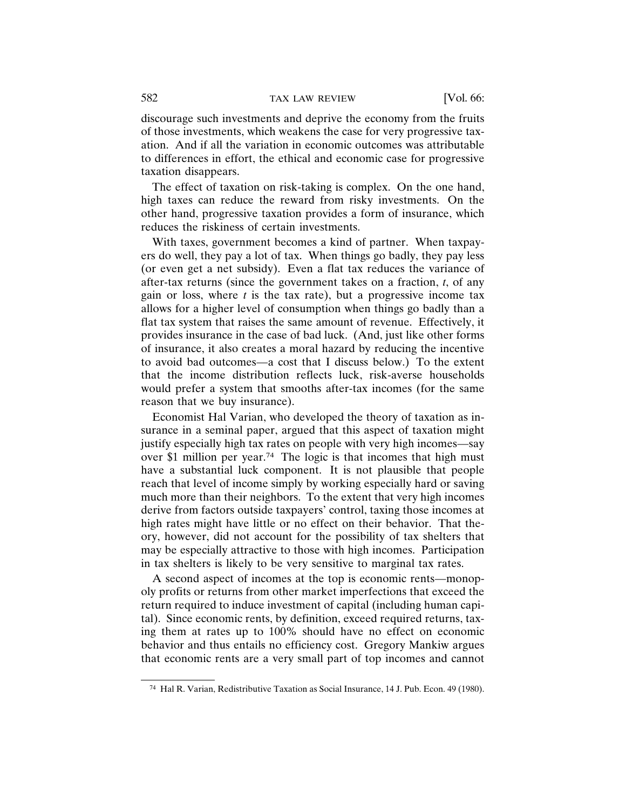discourage such investments and deprive the economy from the fruits of those investments, which weakens the case for very progressive taxation. And if all the variation in economic outcomes was attributable to differences in effort, the ethical and economic case for progressive taxation disappears.

The effect of taxation on risk-taking is complex. On the one hand, high taxes can reduce the reward from risky investments. On the other hand, progressive taxation provides a form of insurance, which reduces the riskiness of certain investments.

With taxes, government becomes a kind of partner. When taxpayers do well, they pay a lot of tax. When things go badly, they pay less (or even get a net subsidy). Even a flat tax reduces the variance of after-tax returns (since the government takes on a fraction, *t*, of any gain or loss, where  $t$  is the tax rate), but a progressive income tax allows for a higher level of consumption when things go badly than a flat tax system that raises the same amount of revenue. Effectively, it provides insurance in the case of bad luck. (And, just like other forms of insurance, it also creates a moral hazard by reducing the incentive to avoid bad outcomes—a cost that I discuss below.) To the extent that the income distribution reflects luck, risk-averse households would prefer a system that smooths after-tax incomes (for the same reason that we buy insurance).

Economist Hal Varian, who developed the theory of taxation as insurance in a seminal paper, argued that this aspect of taxation might justify especially high tax rates on people with very high incomes—say over \$1 million per year.74 The logic is that incomes that high must have a substantial luck component. It is not plausible that people reach that level of income simply by working especially hard or saving much more than their neighbors. To the extent that very high incomes derive from factors outside taxpayers' control, taxing those incomes at high rates might have little or no effect on their behavior. That theory, however, did not account for the possibility of tax shelters that may be especially attractive to those with high incomes. Participation in tax shelters is likely to be very sensitive to marginal tax rates.

A second aspect of incomes at the top is economic rents—monopoly profits or returns from other market imperfections that exceed the return required to induce investment of capital (including human capital). Since economic rents, by definition, exceed required returns, taxing them at rates up to 100% should have no effect on economic behavior and thus entails no efficiency cost. Gregory Mankiw argues that economic rents are a very small part of top incomes and cannot

<sup>74</sup> Hal R. Varian, Redistributive Taxation as Social Insurance, 14 J. Pub. Econ. 49 (1980).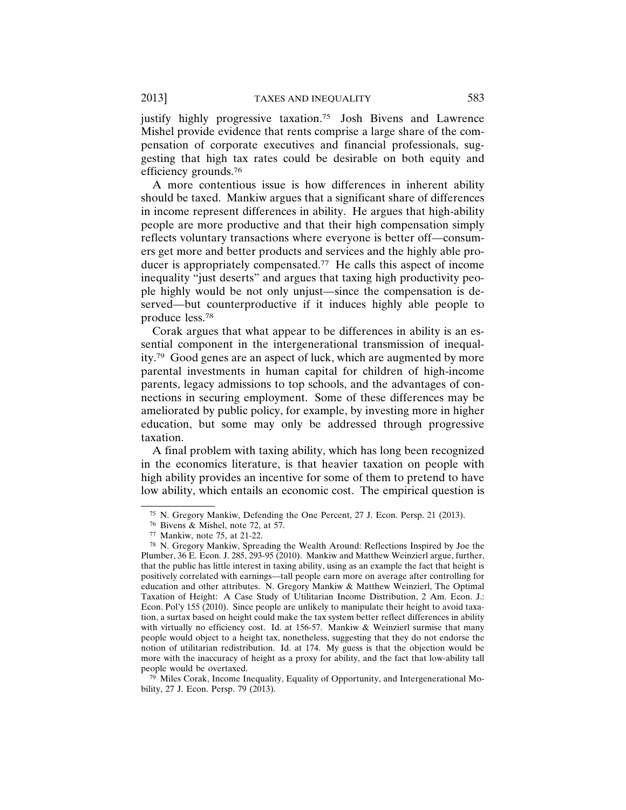justify highly progressive taxation.<sup>75</sup> Josh Bivens and Lawrence Mishel provide evidence that rents comprise a large share of the compensation of corporate executives and financial professionals, suggesting that high tax rates could be desirable on both equity and efficiency grounds.76

A more contentious issue is how differences in inherent ability should be taxed. Mankiw argues that a significant share of differences in income represent differences in ability. He argues that high-ability people are more productive and that their high compensation simply reflects voluntary transactions where everyone is better off—consumers get more and better products and services and the highly able producer is appropriately compensated.77 He calls this aspect of income inequality "just deserts" and argues that taxing high productivity people highly would be not only unjust—since the compensation is deserved—but counterproductive if it induces highly able people to produce less.78

Corak argues that what appear to be differences in ability is an essential component in the intergenerational transmission of inequality.79 Good genes are an aspect of luck, which are augmented by more parental investments in human capital for children of high-income parents, legacy admissions to top schools, and the advantages of connections in securing employment. Some of these differences may be ameliorated by public policy, for example, by investing more in higher education, but some may only be addressed through progressive taxation.

A final problem with taxing ability, which has long been recognized in the economics literature, is that heavier taxation on people with high ability provides an incentive for some of them to pretend to have low ability, which entails an economic cost. The empirical question is

<sup>75</sup> N. Gregory Mankiw, Defending the One Percent, 27 J. Econ. Persp. 21 (2013).

<sup>76</sup> Bivens & Mishel, note 72, at 57.

<sup>77</sup> Mankiw, note 75, at 21-22.

<sup>78</sup> N. Gregory Mankiw, Spreading the Wealth Around: Reflections Inspired by Joe the Plumber, 36 E. Econ. J. 285, 293-95 (2010). Mankiw and Matthew Weinzierl argue, further, that the public has little interest in taxing ability, using as an example the fact that height is positively correlated with earnings—tall people earn more on average after controlling for education and other attributes. N. Gregory Mankiw & Matthew Weinzierl, The Optimal Taxation of Height: A Case Study of Utilitarian Income Distribution, 2 Am. Econ. J.: Econ. Pol'y 155 (2010). Since people are unlikely to manipulate their height to avoid taxation, a surtax based on height could make the tax system better reflect differences in ability with virtually no efficiency cost. Id. at 156-57. Mankiw & Weinzierl surmise that many people would object to a height tax, nonetheless, suggesting that they do not endorse the notion of utilitarian redistribution. Id. at 174. My guess is that the objection would be more with the inaccuracy of height as a proxy for ability, and the fact that low-ability tall people would be overtaxed.

<sup>79</sup> Miles Corak, Income Inequality, Equality of Opportunity, and Intergenerational Mobility, 27 J. Econ. Persp. 79 (2013).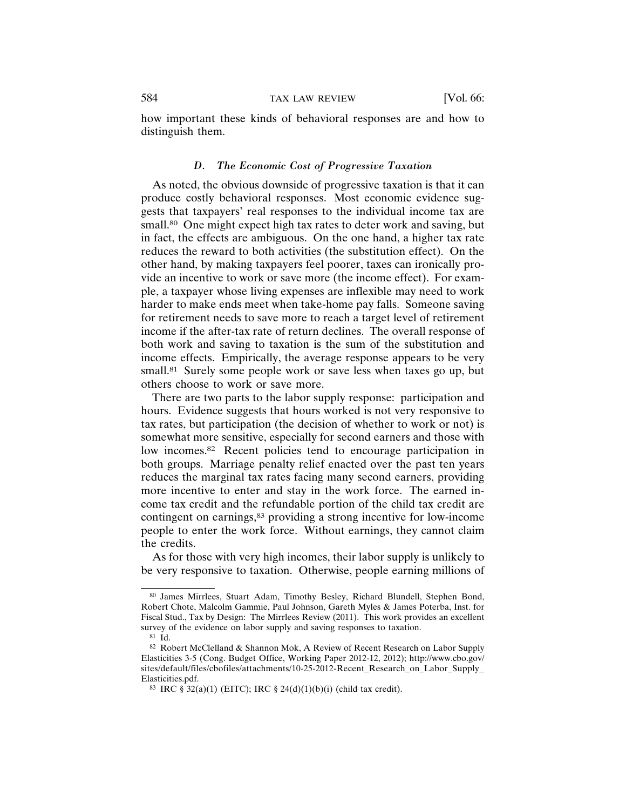how important these kinds of behavioral responses are and how to distinguish them.

#### *D. The Economic Cost of Progressive Taxation*

As noted, the obvious downside of progressive taxation is that it can produce costly behavioral responses. Most economic evidence suggests that taxpayers' real responses to the individual income tax are small.<sup>80</sup> One might expect high tax rates to deter work and saving, but in fact, the effects are ambiguous. On the one hand, a higher tax rate reduces the reward to both activities (the substitution effect). On the other hand, by making taxpayers feel poorer, taxes can ironically provide an incentive to work or save more (the income effect). For example, a taxpayer whose living expenses are inflexible may need to work harder to make ends meet when take-home pay falls. Someone saving for retirement needs to save more to reach a target level of retirement income if the after-tax rate of return declines. The overall response of both work and saving to taxation is the sum of the substitution and income effects. Empirically, the average response appears to be very small.<sup>81</sup> Surely some people work or save less when taxes go up, but others choose to work or save more.

There are two parts to the labor supply response: participation and hours. Evidence suggests that hours worked is not very responsive to tax rates, but participation (the decision of whether to work or not) is somewhat more sensitive, especially for second earners and those with low incomes.<sup>82</sup> Recent policies tend to encourage participation in both groups. Marriage penalty relief enacted over the past ten years reduces the marginal tax rates facing many second earners, providing more incentive to enter and stay in the work force. The earned income tax credit and the refundable portion of the child tax credit are contingent on earnings,<sup>83</sup> providing a strong incentive for low-income people to enter the work force. Without earnings, they cannot claim the credits.

As for those with very high incomes, their labor supply is unlikely to be very responsive to taxation. Otherwise, people earning millions of

<sup>80</sup> James Mirrlees, Stuart Adam, Timothy Besley, Richard Blundell, Stephen Bond, Robert Chote, Malcolm Gammie, Paul Johnson, Gareth Myles & James Poterba, Inst. for Fiscal Stud., Tax by Design: The Mirrlees Review (2011). This work provides an excellent survey of the evidence on labor supply and saving responses to taxation.

<sup>81</sup> Id.

<sup>82</sup> Robert McClelland & Shannon Mok, A Review of Recent Research on Labor Supply Elasticities 3-5 (Cong. Budget Office, Working Paper 2012-12, 2012); http://www.cbo.gov/ sites/default/files/cbofiles/attachments/10-25-2012-Recent\_Research\_on\_Labor\_Supply\_ Elasticities.pdf.

<sup>83</sup> IRC  $\S 32(a)(1)$  (EITC); IRC  $\S 24(d)(1)(b)(i)$  (child tax credit).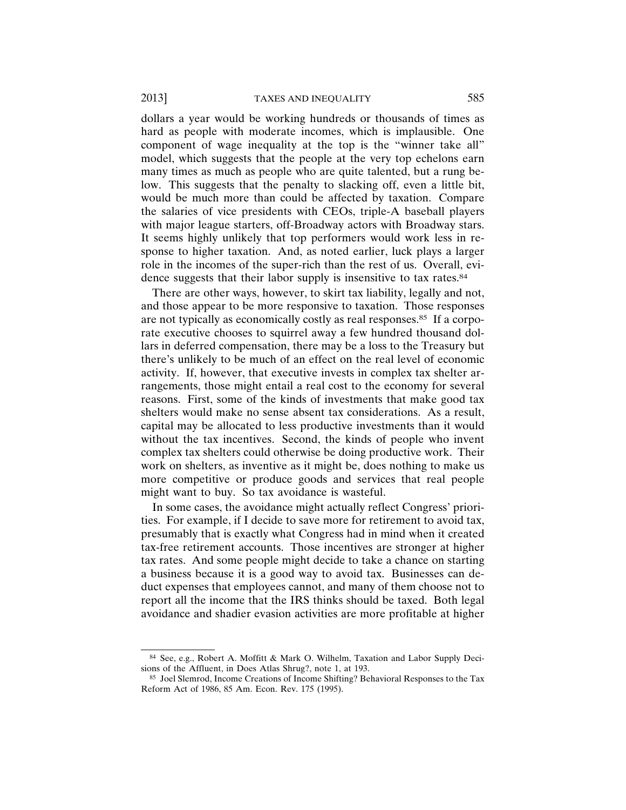dollars a year would be working hundreds or thousands of times as hard as people with moderate incomes, which is implausible. One component of wage inequality at the top is the "winner take all" model, which suggests that the people at the very top echelons earn many times as much as people who are quite talented, but a rung below. This suggests that the penalty to slacking off, even a little bit, would be much more than could be affected by taxation. Compare the salaries of vice presidents with CEOs, triple-A baseball players with major league starters, off-Broadway actors with Broadway stars. It seems highly unlikely that top performers would work less in response to higher taxation. And, as noted earlier, luck plays a larger role in the incomes of the super-rich than the rest of us. Overall, evidence suggests that their labor supply is insensitive to tax rates.<sup>84</sup>

There are other ways, however, to skirt tax liability, legally and not, and those appear to be more responsive to taxation. Those responses are not typically as economically costly as real responses.<sup>85</sup> If a corporate executive chooses to squirrel away a few hundred thousand dollars in deferred compensation, there may be a loss to the Treasury but there's unlikely to be much of an effect on the real level of economic activity. If, however, that executive invests in complex tax shelter arrangements, those might entail a real cost to the economy for several reasons. First, some of the kinds of investments that make good tax shelters would make no sense absent tax considerations. As a result, capital may be allocated to less productive investments than it would without the tax incentives. Second, the kinds of people who invent complex tax shelters could otherwise be doing productive work. Their work on shelters, as inventive as it might be, does nothing to make us more competitive or produce goods and services that real people might want to buy. So tax avoidance is wasteful.

In some cases, the avoidance might actually reflect Congress' priorities. For example, if I decide to save more for retirement to avoid tax, presumably that is exactly what Congress had in mind when it created tax-free retirement accounts. Those incentives are stronger at higher tax rates. And some people might decide to take a chance on starting a business because it is a good way to avoid tax. Businesses can deduct expenses that employees cannot, and many of them choose not to report all the income that the IRS thinks should be taxed. Both legal avoidance and shadier evasion activities are more profitable at higher

<sup>84</sup> See, e.g., Robert A. Moffitt & Mark O. Wilhelm, Taxation and Labor Supply Decisions of the Affluent, in Does Atlas Shrug?, note 1, at 193.

<sup>85</sup> Joel Slemrod, Income Creations of Income Shifting? Behavioral Responses to the Tax Reform Act of 1986, 85 Am. Econ. Rev. 175 (1995).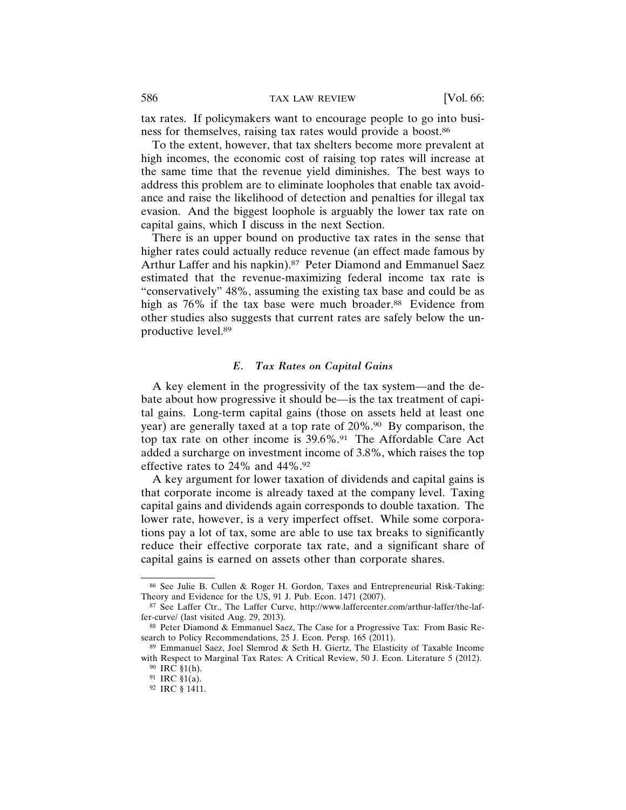tax rates. If policymakers want to encourage people to go into business for themselves, raising tax rates would provide a boost.86

To the extent, however, that tax shelters become more prevalent at high incomes, the economic cost of raising top rates will increase at the same time that the revenue yield diminishes. The best ways to address this problem are to eliminate loopholes that enable tax avoidance and raise the likelihood of detection and penalties for illegal tax evasion. And the biggest loophole is arguably the lower tax rate on capital gains, which I discuss in the next Section.

There is an upper bound on productive tax rates in the sense that higher rates could actually reduce revenue (an effect made famous by Arthur Laffer and his napkin).<sup>87</sup> Peter Diamond and Emmanuel Saez estimated that the revenue-maximizing federal income tax rate is "conservatively" 48%, assuming the existing tax base and could be as high as 76% if the tax base were much broader.<sup>88</sup> Evidence from other studies also suggests that current rates are safely below the unproductive level.89

#### *E. Tax Rates on Capital Gains*

A key element in the progressivity of the tax system—and the debate about how progressive it should be—is the tax treatment of capital gains. Long-term capital gains (those on assets held at least one year) are generally taxed at a top rate of 20%.<sup>90</sup> By comparison, the top tax rate on other income is 39.6%.<sup>91</sup> The Affordable Care Act added a surcharge on investment income of 3.8%, which raises the top effective rates to 24% and 44%.92

A key argument for lower taxation of dividends and capital gains is that corporate income is already taxed at the company level. Taxing capital gains and dividends again corresponds to double taxation. The lower rate, however, is a very imperfect offset. While some corporations pay a lot of tax, some are able to use tax breaks to significantly reduce their effective corporate tax rate, and a significant share of capital gains is earned on assets other than corporate shares.

<sup>86</sup> See Julie B. Cullen & Roger H. Gordon, Taxes and Entrepreneurial Risk-Taking: Theory and Evidence for the US, 91 J. Pub. Econ. 1471 (2007).

<sup>87</sup> See Laffer Ctr., The Laffer Curve, http://www.laffercenter.com/arthur-laffer/the-laffer-curve/ (last visited Aug. 29, 2013).

<sup>88</sup> Peter Diamond & Emmanuel Saez, The Case for a Progressive Tax: From Basic Research to Policy Recommendations, 25 J. Econ. Persp. 165 (2011).

<sup>89</sup> Emmanuel Saez, Joel Slemrod & Seth H. Giertz, The Elasticity of Taxable Income with Respect to Marginal Tax Rates: A Critical Review, 50 J. Econ. Literature 5 (2012).

<sup>90</sup> IRC §1(h).

<sup>91</sup> IRC §1(a).

<sup>92</sup> IRC § 1411.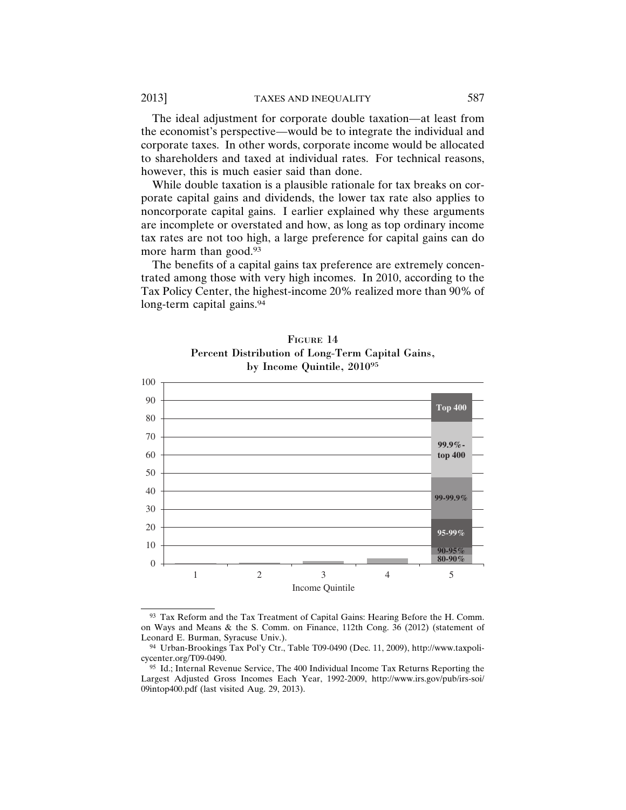The ideal adjustment for corporate double taxation—at least from the economist's perspective—would be to integrate the individual and corporate taxes. In other words, corporate income would be allocated to shareholders and taxed at individual rates. For technical reasons, however, this is much easier said than done.

While double taxation is a plausible rationale for tax breaks on corporate capital gains and dividends, the lower tax rate also applies to noncorporate capital gains. I earlier explained why these arguments are incomplete or overstated and how, as long as top ordinary income tax rates are not too high, a large preference for capital gains can do more harm than good.93

The benefits of a capital gains tax preference are extremely concentrated among those with very high incomes. In 2010, according to the Tax Policy Center, the highest-income 20% realized more than 90% of long-term capital gains.<sup>94</sup>



FIGURE 14 Percent Distribution of Long-Term Capital Gains, by Income Quintile, 201095

<sup>93</sup> Tax Reform and the Tax Treatment of Capital Gains: Hearing Before the H. Comm. on Ways and Means & the S. Comm. on Finance, 112th Cong. 36 (2012) (statement of Leonard E. Burman, Syracuse Univ.).

<sup>94</sup> Urban-Brookings Tax Pol'y Ctr., Table T09-0490 (Dec. 11, 2009), http://www.taxpolicycenter.org/T09-0490.

<sup>95</sup> Id.; Internal Revenue Service, The 400 Individual Income Tax Returns Reporting the Largest Adjusted Gross Incomes Each Year, 1992-2009, http://www.irs.gov/pub/irs-soi/ 09intop400.pdf (last visited Aug. 29, 2013).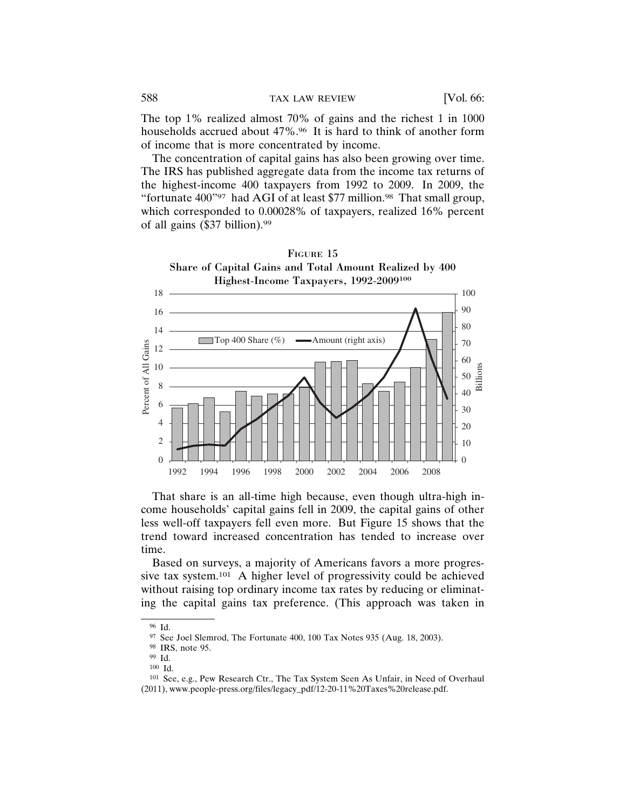The top 1% realized almost 70% of gains and the richest 1 in 1000 households accrued about 47%.<sup>96</sup> It is hard to think of another form of income that is more concentrated by income.

The concentration of capital gains has also been growing over time. The IRS has published aggregate data from the income tax returns of the highest-income 400 taxpayers from 1992 to 2009. In 2009, the "fortunate 400"97 had AGI of at least \$77 million.98 That small group, which corresponded to 0.00028% of taxpayers, realized 16% percent of all gains (\$37 billion).99



That share is an all-time high because, even though ultra-high income households' capital gains fell in 2009, the capital gains of other less well-off taxpayers fell even more. But Figure 15 shows that the trend toward increased concentration has tended to increase over time.

Based on surveys, a majority of Americans favors a more progressive tax system.101 A higher level of progressivity could be achieved without raising top ordinary income tax rates by reducing or eliminating the capital gains tax preference. (This approach was taken in

<sup>96</sup> Id.

 $97$  See Joel Slemrod, The Fortunate 400, 100 Tax Notes 935 (Aug. 18, 2003).

<sup>98</sup> IRS, note 95.

<sup>99</sup> Id.

<sup>100</sup> Id.

<sup>101</sup> See, e.g., Pew Research Ctr., The Tax System Seen As Unfair, in Need of Overhaul (2011), www.people-press.org/files/legacy\_pdf/12-20-11%20Taxes%20release.pdf.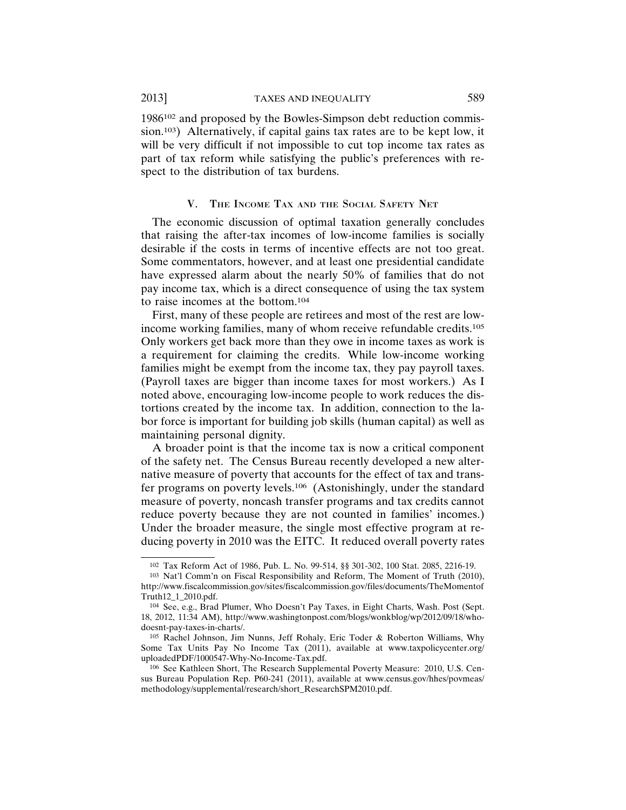1986102 and proposed by the Bowles-Simpson debt reduction commission.103) Alternatively, if capital gains tax rates are to be kept low, it will be very difficult if not impossible to cut top income tax rates as part of tax reform while satisfying the public's preferences with respect to the distribution of tax burdens.

## V. THE INCOME TAX AND THE SOCIAL SAFETY NET

The economic discussion of optimal taxation generally concludes that raising the after-tax incomes of low-income families is socially desirable if the costs in terms of incentive effects are not too great. Some commentators, however, and at least one presidential candidate have expressed alarm about the nearly 50% of families that do not pay income tax, which is a direct consequence of using the tax system to raise incomes at the bottom.104

First, many of these people are retirees and most of the rest are lowincome working families, many of whom receive refundable credits.105 Only workers get back more than they owe in income taxes as work is a requirement for claiming the credits. While low-income working families might be exempt from the income tax, they pay payroll taxes. (Payroll taxes are bigger than income taxes for most workers.) As I noted above, encouraging low-income people to work reduces the distortions created by the income tax. In addition, connection to the labor force is important for building job skills (human capital) as well as maintaining personal dignity.

A broader point is that the income tax is now a critical component of the safety net. The Census Bureau recently developed a new alternative measure of poverty that accounts for the effect of tax and transfer programs on poverty levels.106 (Astonishingly, under the standard measure of poverty, noncash transfer programs and tax credits cannot reduce poverty because they are not counted in families' incomes.) Under the broader measure, the single most effective program at reducing poverty in 2010 was the EITC. It reduced overall poverty rates

<sup>102</sup> Tax Reform Act of 1986, Pub. L. No. 99-514, §§ 301-302, 100 Stat. 2085, 2216-19.

<sup>103</sup> Nat'l Comm'n on Fiscal Responsibility and Reform, The Moment of Truth (2010), http://www.fiscalcommission.gov/sites/fiscalcommission.gov/files/documents/TheMomentof Truth12\_1\_2010.pdf.

<sup>104</sup> See, e.g., Brad Plumer, Who Doesn't Pay Taxes, in Eight Charts, Wash. Post (Sept. 18, 2012, 11:34 AM), http://www.washingtonpost.com/blogs/wonkblog/wp/2012/09/18/whodoesnt-pay-taxes-in-charts/.

<sup>105</sup> Rachel Johnson, Jim Nunns, Jeff Rohaly, Eric Toder & Roberton Williams, Why Some Tax Units Pay No Income Tax (2011), available at www.taxpolicycenter.org/ uploadedPDF/1000547-Why-No-Income-Tax.pdf.

<sup>106</sup> See Kathleen Short, The Research Supplemental Poverty Measure: 2010, U.S. Census Bureau Population Rep. P60-241 (2011), available at www.census.gov/hhes/povmeas/ methodology/supplemental/research/short\_ResearchSPM2010.pdf.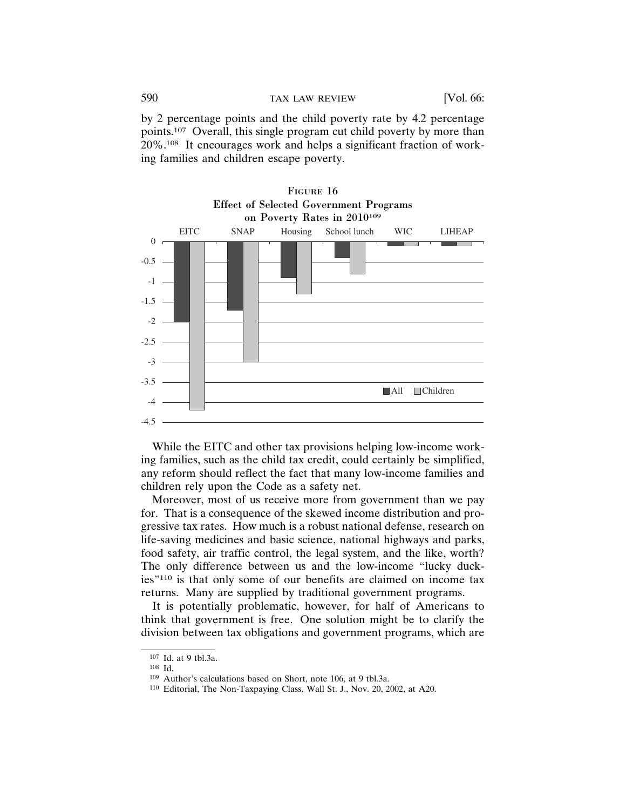by 2 percentage points and the child poverty rate by 4.2 percentage points.107 Overall, this single program cut child poverty by more than 20%.108 It encourages work and helps a significant fraction of working families and children escape poverty.





While the EITC and other tax provisions helping low-income working families, such as the child tax credit, could certainly be simplified, any reform should reflect the fact that many low-income families and children rely upon the Code as a safety net.

Moreover, most of us receive more from government than we pay for. That is a consequence of the skewed income distribution and progressive tax rates. How much is a robust national defense, research on life-saving medicines and basic science, national highways and parks, food safety, air traffic control, the legal system, and the like, worth? The only difference between us and the low-income "lucky duckies"110 is that only some of our benefits are claimed on income tax returns. Many are supplied by traditional government programs.

It is potentially problematic, however, for half of Americans to think that government is free. One solution might be to clarify the division between tax obligations and government programs, which are

<sup>107</sup> Id. at 9 tbl.3a.

<sup>108</sup> Id.

<sup>109</sup> Author's calculations based on Short, note 106, at 9 tbl.3a.

<sup>110</sup> Editorial, The Non-Taxpaying Class, Wall St. J., Nov. 20, 2002, at A20.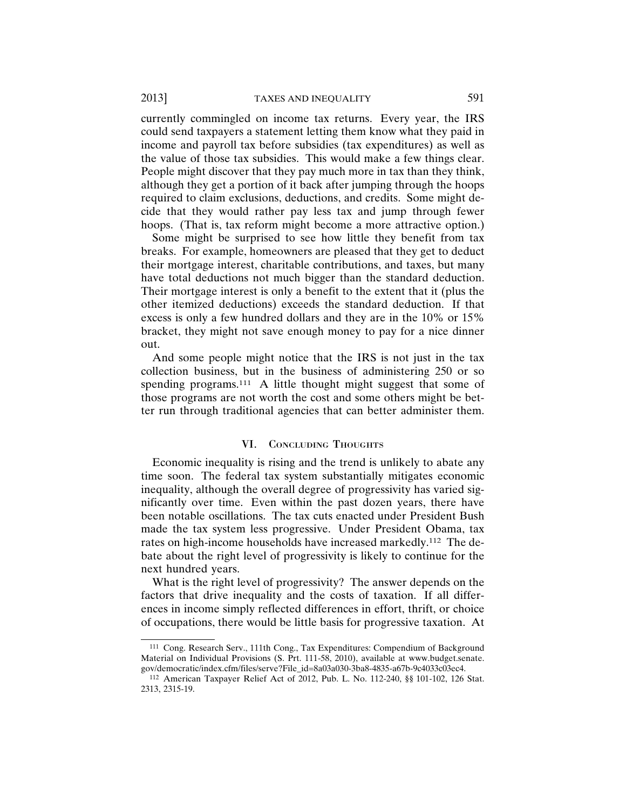currently commingled on income tax returns. Every year, the IRS could send taxpayers a statement letting them know what they paid in income and payroll tax before subsidies (tax expenditures) as well as the value of those tax subsidies. This would make a few things clear. People might discover that they pay much more in tax than they think, although they get a portion of it back after jumping through the hoops required to claim exclusions, deductions, and credits. Some might decide that they would rather pay less tax and jump through fewer hoops. (That is, tax reform might become a more attractive option.)

Some might be surprised to see how little they benefit from tax breaks. For example, homeowners are pleased that they get to deduct their mortgage interest, charitable contributions, and taxes, but many have total deductions not much bigger than the standard deduction. Their mortgage interest is only a benefit to the extent that it (plus the other itemized deductions) exceeds the standard deduction. If that excess is only a few hundred dollars and they are in the 10% or 15% bracket, they might not save enough money to pay for a nice dinner out.

And some people might notice that the IRS is not just in the tax collection business, but in the business of administering 250 or so spending programs.<sup>111</sup> A little thought might suggest that some of those programs are not worth the cost and some others might be better run through traditional agencies that can better administer them.

# VI. CONCLUDING THOUGHTS

Economic inequality is rising and the trend is unlikely to abate any time soon. The federal tax system substantially mitigates economic inequality, although the overall degree of progressivity has varied significantly over time. Even within the past dozen years, there have been notable oscillations. The tax cuts enacted under President Bush made the tax system less progressive. Under President Obama, tax rates on high-income households have increased markedly.112 The debate about the right level of progressivity is likely to continue for the next hundred years.

What is the right level of progressivity? The answer depends on the factors that drive inequality and the costs of taxation. If all differences in income simply reflected differences in effort, thrift, or choice of occupations, there would be little basis for progressive taxation. At

<sup>111</sup> Cong. Research Serv., 111th Cong., Tax Expenditures: Compendium of Background Material on Individual Provisions (S. Prt. 111-58, 2010), available at www.budget.senate. gov/democratic/index.cfm/files/serve?File\_id=8a03a030-3ba8-4835-a67b-9c4033c03ec4.

<sup>112</sup> American Taxpayer Relief Act of 2012, Pub. L. No. 112-240, §§ 101-102, 126 Stat. 2313, 2315-19.